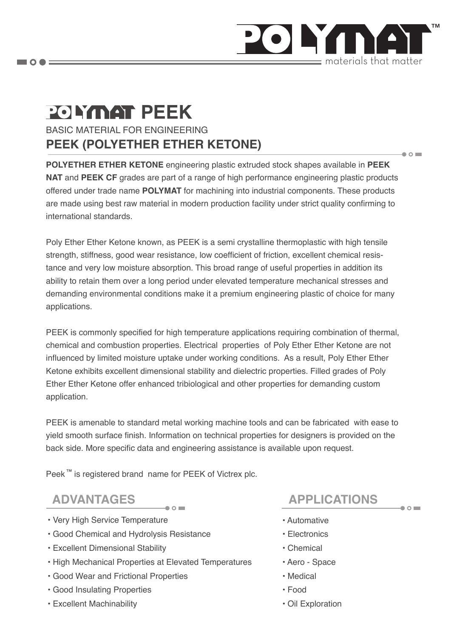

 $\bullet$   $\circ$   $\blacksquare$ 

 $\bullet$  0

# **POLYMAT PEEK**

 $\blacksquare$   $\bigcirc$   $\spadesuit$   $\equiv$ 

BASIC MATERIAL FOR ENGINEERING **PEEK (POLYETHER ETHER KETONE)**

**POLYETHER ETHER KETONE** engineering plastic extruded stock shapes available in **PEEK NAT** and **PEEK CF** grades are part of a range of high performance engineering plastic products offered under trade name **POLYMAT** for machining into industrial components. These products are made using best raw material in modern production facility under strict quality confirming to international standards.

Poly Ether Ether Ketone known, as PEEK is a semi crystalline thermoplastic with high tensile strength, stiffness, good wear resistance, low coefficient of friction, excellent chemical resistance and very low moisture absorption. This broad range of useful properties in addition its ability to retain them over a long period under elevated temperature mechanical stresses and demanding environmental conditions make it a premium engineering plastic of choice for many applications.

PEEK is commonly specified for high temperature applications requiring combination of thermal, chemical and combustion properties. Electrical properties of Poly Ether Ether Ketone are not influenced by limited moisture uptake under working conditions. As a result, Poly Ether Ether Ketone exhibits excellent dimensional stability and dielectric properties. Filled grades of Poly Ether Ether Ketone offer enhanced tribiological and other properties for demanding custom application.

PEEK is amenable to standard metal working machine tools and can be fabricated with ease to yield smooth surface finish. Information on technical properties for designers is provided on the back side. More specific data and engineering assistance is available upon request.

Peek<sup>™</sup> is registered brand name for PEEK of Victrex plc.

- Very High Service Temperature
- Good Chemical and Hydrolysis Resistance
- Excellent Dimensional Stability
- High Mechanical Properties at Elevated Temperatures
- Good Wear and Frictional Properties
- Good Insulating Properties
- Excellent Machinability

## **ADVANTAGES APPLICATIONS**

- Automative
- Electronics
- Chemical
- Aero Space
- Medical
- Food
- Oil Exploration